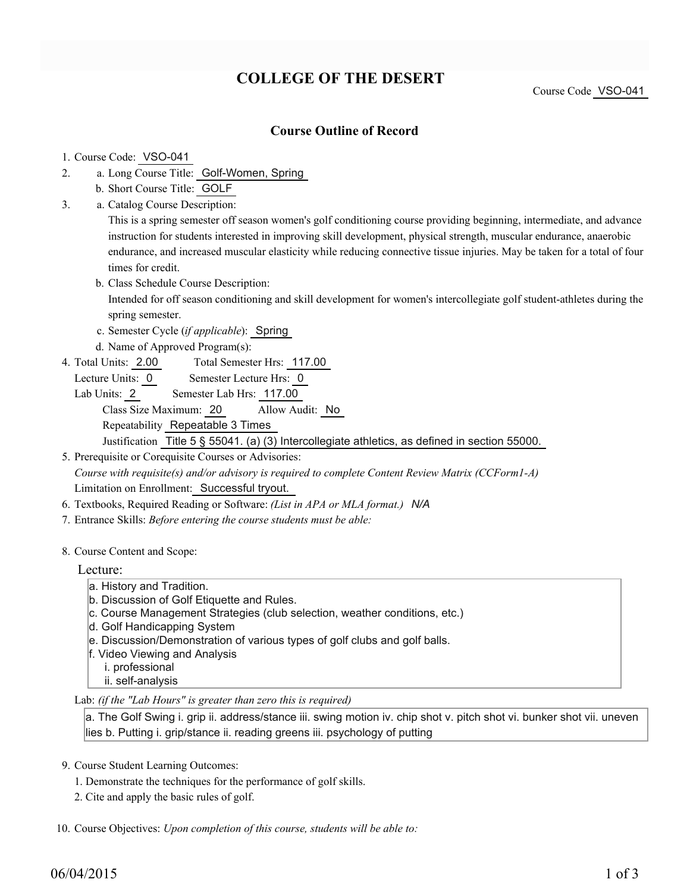# **COLLEGE OF THE DESERT**

Course Code VSO-041

## **Course Outline of Record**

#### 1. Course Code: VSO-041

- a. Long Course Title: Golf-Women, Spring 2.
	- b. Short Course Title: GOLF
- Catalog Course Description: a. 3.

This is a spring semester off season women's golf conditioning course providing beginning, intermediate, and advance instruction for students interested in improving skill development, physical strength, muscular endurance, anaerobic endurance, and increased muscular elasticity while reducing connective tissue injuries. May be taken for a total of four times for credit.

b. Class Schedule Course Description:

Intended for off season conditioning and skill development for women's intercollegiate golf student-athletes during the spring semester.

- c. Semester Cycle (*if applicable*): Spring
- d. Name of Approved Program(s):
- Total Semester Hrs: 117.00 4. Total Units: 2.00
	- Lecture Units: 0 Semester Lecture Hrs: 0
	- Lab Units: 2 Semester Lab Hrs: 117.00 Class Size Maximum: 20 Allow Audit: No Repeatability Repeatable 3 Times Justification Title 5 § 55041. (a) (3) Intercollegiate athletics, as defined in section 55000.

5. Prerequisite or Corequisite Courses or Advisories: *Course with requisite(s) and/or advisory is required to complete Content Review Matrix (CCForm1-A)* Limitation on Enrollment: Successful tryout.

- 6. Textbooks, Required Reading or Software: *(List in APA or MLA format.) N/A*
- 7. Entrance Skills: *Before entering the course students must be able:*
- 8. Course Content and Scope:

### Lecture:

- a. History and Tradition.
- b. Discussion of Golf Etiquette and Rules.
- c. Course Management Strategies (club selection, weather conditions, etc.)
- d. Golf Handicapping System
- e. Discussion/Demonstration of various types of golf clubs and golf balls.
- f. Video Viewing and Analysis
	- i. professional
	- ii. self-analysis
- Lab: *(if the "Lab Hours" is greater than zero this is required)*

a. The Golf Swing i. grip ii. address/stance iii. swing motion iv. chip shot v. pitch shot vi. bunker shot vii. uneven lies b. Putting i. grip/stance ii. reading greens iii. psychology of putting

- 9. Course Student Learning Outcomes:
	- 1. Demonstrate the techniques for the performance of golf skills.
	- 2. Cite and apply the basic rules of golf.

10. Course Objectives: Upon completion of this course, students will be able to: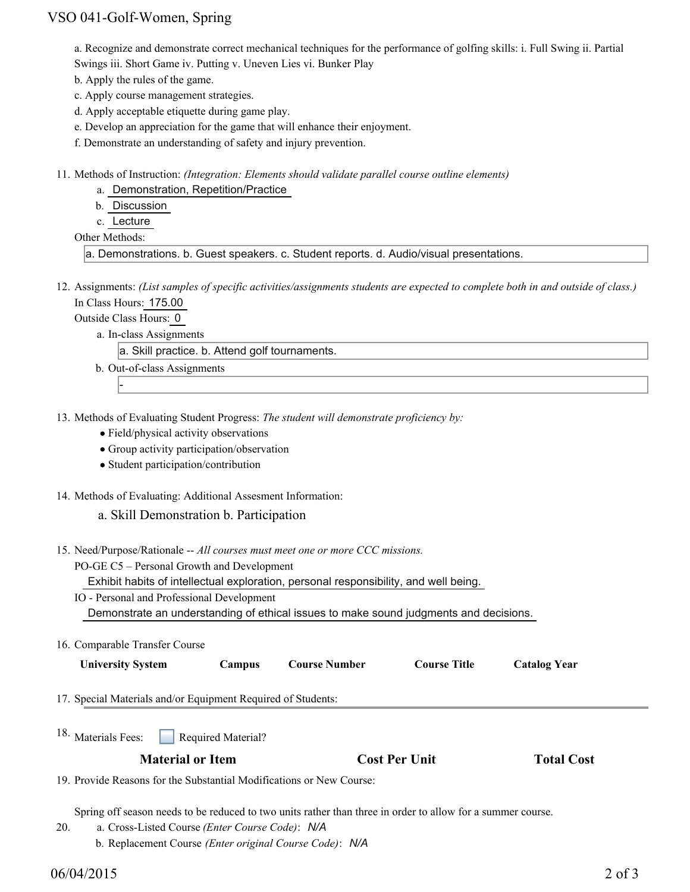## VSO 041-Golf-Women, Spring

a. Recognize and demonstrate correct mechanical techniques for the performance of golfing skills: i. Full Swing ii. Partial Swings iii. Short Game iv. Putting v. Uneven Lies vi. Bunker Play

- b. Apply the rules of the game.
- c. Apply course management strategies.
- d. Apply acceptable etiquette during game play.
- e. Develop an appreciation for the game that will enhance their enjoyment.
- f. Demonstrate an understanding of safety and injury prevention.
- Methods of Instruction: *(Integration: Elements should validate parallel course outline elements)* 11.
	- a. Demonstration, Repetition/Practice
	- b. Discussion
	- c. Lecture
	- Other Methods:

```
a. Demonstrations. b. Guest speakers. c. Student reports. d. Audio/visual presentations.
```
12. Assignments: (List samples of specific activities/assignments students are expected to complete both in and outside of class.) In Class Hours: 175.00

Outside Class Hours: 0

-

a. In-class Assignments

a. Skill practice. b. Attend golf tournaments.

- b. Out-of-class Assignments
- 13. Methods of Evaluating Student Progress: The student will demonstrate proficiency by:
	- Field/physical activity observations
	- Group activity participation/observation
	- Student participation/contribution
- 14. Methods of Evaluating: Additional Assesment Information:

### a. Skill Demonstration b. Participation

- 15. Need/Purpose/Rationale -- All courses must meet one or more CCC missions.
	- PO-GE C5 Personal Growth and Development
		- Exhibit habits of intellectual exploration, personal responsibility, and well being.
	- IO Personal and Professional Development Demonstrate an understanding of ethical issues to make sound judgments and decisions.
- 16. Comparable Transfer Course

| <b>University System</b>                                     | Campus | <b>Course Number</b> | <b>Course Title</b> | <b>Catalog Year</b> |
|--------------------------------------------------------------|--------|----------------------|---------------------|---------------------|
|                                                              |        |                      |                     |                     |
| 17. Special Materials and/or Equipment Required of Students: |        |                      |                     |                     |

Required Material? <sup>18.</sup> Materials Fees:

### **Material or Item Cost Per Unit Total Cost**

19. Provide Reasons for the Substantial Modifications or New Course:

Spring off season needs to be reduced to two units rather than three in order to allow for a summer course.

- a. Cross-Listed Course *(Enter Course Code)*: *N/A* 20.
	- b. Replacement Course *(Enter original Course Code)*: *N/A*